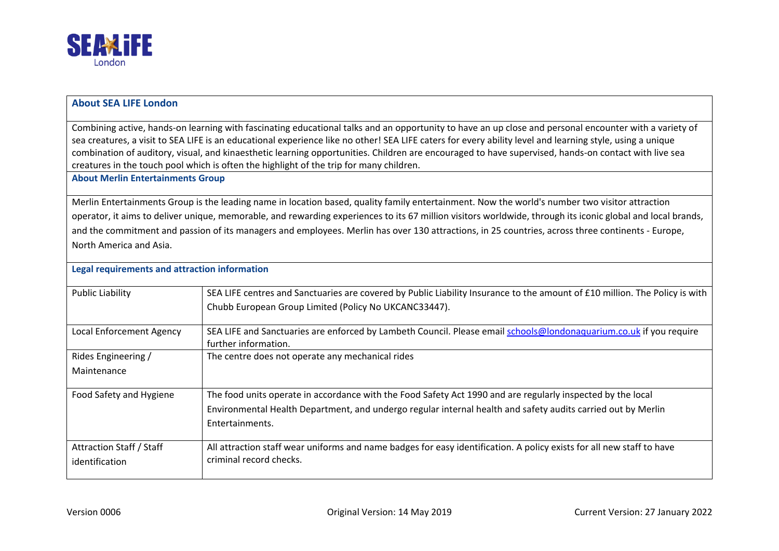

## **About SEA LIFE London**

Combining active, hands-on learning with fascinating educational talks and an opportunity to have an up close and personal encounter with a variety of sea creatures, a visit to SEA LIFE is an educational experience like no other! SEA LIFE caters for every ability level and learning style, using a unique combination of auditory, visual, and kinaesthetic learning opportunities. Children are encouraged to have supervised, hands-on contact with live sea creatures in the touch pool which is often the highlight of the trip for many children.

**About Merlin Entertainments Group** 

Merlin Entertainments Group is the leading name in location based, quality family entertainment. Now the world's number two visitor attraction operator, it aims to deliver unique, memorable, and rewarding experiences to its 67 million visitors worldwide, through its iconic global and local brands, and the commitment and passion of its managers and employees. Merlin has over 130 attractions, in 25 countries, across three continents - Europe, North America and Asia.

| Legal requirements and attraction information     |                                                                                                                                                                                                                                                |  |
|---------------------------------------------------|------------------------------------------------------------------------------------------------------------------------------------------------------------------------------------------------------------------------------------------------|--|
| Public Liability                                  | SEA LIFE centres and Sanctuaries are covered by Public Liability Insurance to the amount of £10 million. The Policy is with<br>Chubb European Group Limited (Policy No UKCANC33447).                                                           |  |
| Local Enforcement Agency                          | SEA LIFE and Sanctuaries are enforced by Lambeth Council. Please email schools@londonaquarium.co.uk if you require<br>further information.                                                                                                     |  |
| Rides Engineering /<br>Maintenance                | The centre does not operate any mechanical rides                                                                                                                                                                                               |  |
| Food Safety and Hygiene                           | The food units operate in accordance with the Food Safety Act 1990 and are regularly inspected by the local<br>Environmental Health Department, and undergo regular internal health and safety audits carried out by Merlin<br>Entertainments. |  |
| <b>Attraction Staff / Staff</b><br>identification | All attraction staff wear uniforms and name badges for easy identification. A policy exists for all new staff to have<br>criminal record checks.                                                                                               |  |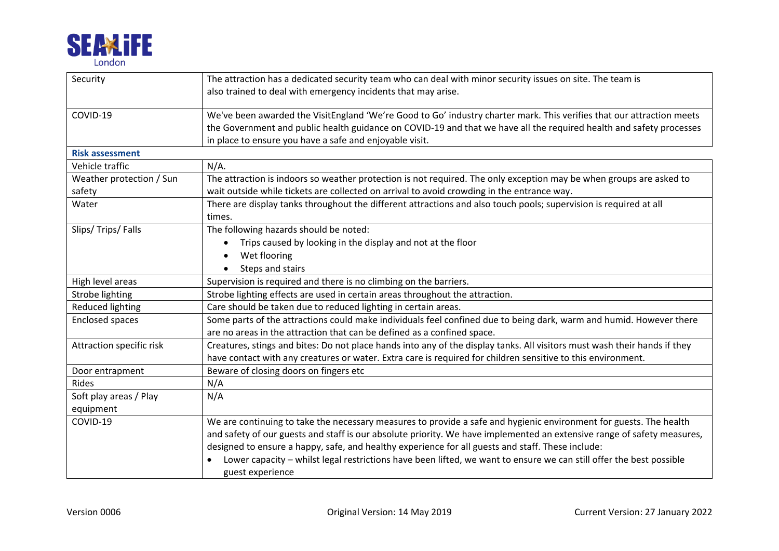

| Security                 | The attraction has a dedicated security team who can deal with minor security issues on site. The team is                                                                                                                                                                                               |
|--------------------------|---------------------------------------------------------------------------------------------------------------------------------------------------------------------------------------------------------------------------------------------------------------------------------------------------------|
|                          | also trained to deal with emergency incidents that may arise.                                                                                                                                                                                                                                           |
| COVID-19                 | We've been awarded the VisitEngland 'We're Good to Go' industry charter mark. This verifies that our attraction meets<br>the Government and public health guidance on COVID-19 and that we have all the required health and safety processes<br>in place to ensure you have a safe and enjoyable visit. |
| <b>Risk assessment</b>   |                                                                                                                                                                                                                                                                                                         |
| Vehicle traffic          | $N/A$ .                                                                                                                                                                                                                                                                                                 |
| Weather protection / Sun | The attraction is indoors so weather protection is not required. The only exception may be when groups are asked to                                                                                                                                                                                     |
| safety                   | wait outside while tickets are collected on arrival to avoid crowding in the entrance way.                                                                                                                                                                                                              |
| Water                    | There are display tanks throughout the different attractions and also touch pools; supervision is required at all                                                                                                                                                                                       |
|                          | times.                                                                                                                                                                                                                                                                                                  |
| Slips/Trips/Falls        | The following hazards should be noted:                                                                                                                                                                                                                                                                  |
|                          | Trips caused by looking in the display and not at the floor<br>$\bullet$                                                                                                                                                                                                                                |
|                          | Wet flooring                                                                                                                                                                                                                                                                                            |
|                          | Steps and stairs                                                                                                                                                                                                                                                                                        |
| High level areas         | Supervision is required and there is no climbing on the barriers.                                                                                                                                                                                                                                       |
| Strobe lighting          | Strobe lighting effects are used in certain areas throughout the attraction.                                                                                                                                                                                                                            |
| Reduced lighting         | Care should be taken due to reduced lighting in certain areas.                                                                                                                                                                                                                                          |
| <b>Enclosed spaces</b>   | Some parts of the attractions could make individuals feel confined due to being dark, warm and humid. However there<br>are no areas in the attraction that can be defined as a confined space.                                                                                                          |
| Attraction specific risk | Creatures, stings and bites: Do not place hands into any of the display tanks. All visitors must wash their hands if they<br>have contact with any creatures or water. Extra care is required for children sensitive to this environment.                                                               |
| Door entrapment          | Beware of closing doors on fingers etc                                                                                                                                                                                                                                                                  |
| <b>Rides</b>             | N/A                                                                                                                                                                                                                                                                                                     |
| Soft play areas / Play   | N/A                                                                                                                                                                                                                                                                                                     |
| equipment                |                                                                                                                                                                                                                                                                                                         |
| COVID-19                 | We are continuing to take the necessary measures to provide a safe and hygienic environment for guests. The health                                                                                                                                                                                      |
|                          | and safety of our guests and staff is our absolute priority. We have implemented an extensive range of safety measures,                                                                                                                                                                                 |
|                          | designed to ensure a happy, safe, and healthy experience for all guests and staff. These include:                                                                                                                                                                                                       |
|                          | Lower capacity – whilst legal restrictions have been lifted, we want to ensure we can still offer the best possible<br>guest experience                                                                                                                                                                 |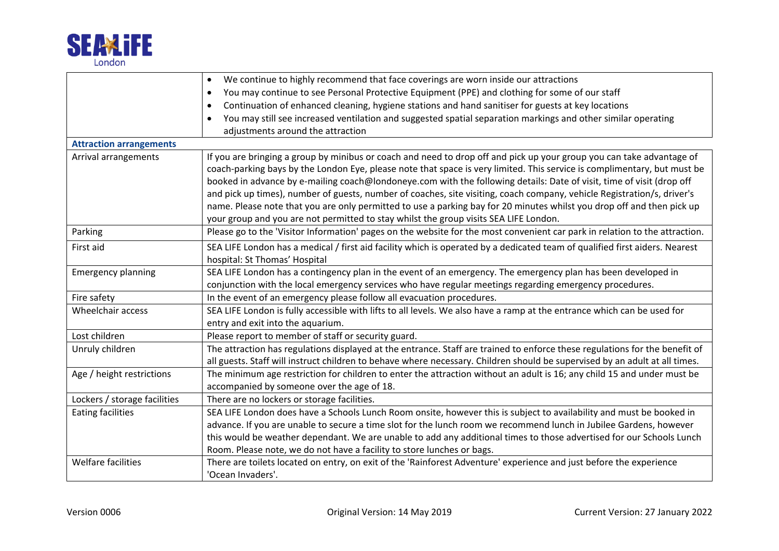

|                                | We continue to highly recommend that face coverings are worn inside our attractions<br>$\bullet$                            |  |  |
|--------------------------------|-----------------------------------------------------------------------------------------------------------------------------|--|--|
|                                | You may continue to see Personal Protective Equipment (PPE) and clothing for some of our staff<br>$\bullet$                 |  |  |
|                                | Continuation of enhanced cleaning, hygiene stations and hand sanitiser for guests at key locations<br>$\bullet$             |  |  |
|                                | You may still see increased ventilation and suggested spatial separation markings and other similar operating<br>$\bullet$  |  |  |
|                                | adjustments around the attraction                                                                                           |  |  |
| <b>Attraction arrangements</b> |                                                                                                                             |  |  |
| Arrival arrangements           | If you are bringing a group by minibus or coach and need to drop off and pick up your group you can take advantage of       |  |  |
|                                | coach-parking bays by the London Eye, please note that space is very limited. This service is complimentary, but must be    |  |  |
|                                | booked in advance by e-mailing coach@londoneye.com with the following details: Date of visit, time of visit (drop off       |  |  |
|                                | and pick up times), number of guests, number of coaches, site visiting, coach company, vehicle Registration/s, driver's     |  |  |
|                                | name. Please note that you are only permitted to use a parking bay for 20 minutes whilst you drop off and then pick up      |  |  |
|                                | your group and you are not permitted to stay whilst the group visits SEA LIFE London.                                       |  |  |
| Parking                        | Please go to the 'Visitor Information' pages on the website for the most convenient car park in relation to the attraction. |  |  |
| First aid                      | SEA LIFE London has a medical / first aid facility which is operated by a dedicated team of qualified first aiders. Nearest |  |  |
|                                | hospital: St Thomas' Hospital                                                                                               |  |  |
| <b>Emergency planning</b>      | SEA LIFE London has a contingency plan in the event of an emergency. The emergency plan has been developed in               |  |  |
|                                | conjunction with the local emergency services who have regular meetings regarding emergency procedures.                     |  |  |
| Fire safety                    | In the event of an emergency please follow all evacuation procedures.                                                       |  |  |
| Wheelchair access              | SEA LIFE London is fully accessible with lifts to all levels. We also have a ramp at the entrance which can be used for     |  |  |
|                                | entry and exit into the aquarium.                                                                                           |  |  |
| Lost children                  | Please report to member of staff or security guard.                                                                         |  |  |
| Unruly children                | The attraction has regulations displayed at the entrance. Staff are trained to enforce these regulations for the benefit of |  |  |
|                                | all guests. Staff will instruct children to behave where necessary. Children should be supervised by an adult at all times. |  |  |
| Age / height restrictions      | The minimum age restriction for children to enter the attraction without an adult is 16; any child 15 and under must be     |  |  |
|                                | accompanied by someone over the age of 18.                                                                                  |  |  |
| Lockers / storage facilities   | There are no lockers or storage facilities.                                                                                 |  |  |
| <b>Eating facilities</b>       | SEA LIFE London does have a Schools Lunch Room onsite, however this is subject to availability and must be booked in        |  |  |
|                                | advance. If you are unable to secure a time slot for the lunch room we recommend lunch in Jubilee Gardens, however          |  |  |
|                                | this would be weather dependant. We are unable to add any additional times to those advertised for our Schools Lunch        |  |  |
|                                | Room. Please note, we do not have a facility to store lunches or bags.                                                      |  |  |
| Welfare facilities             | There are toilets located on entry, on exit of the 'Rainforest Adventure' experience and just before the experience         |  |  |
|                                | 'Ocean Invaders'.                                                                                                           |  |  |